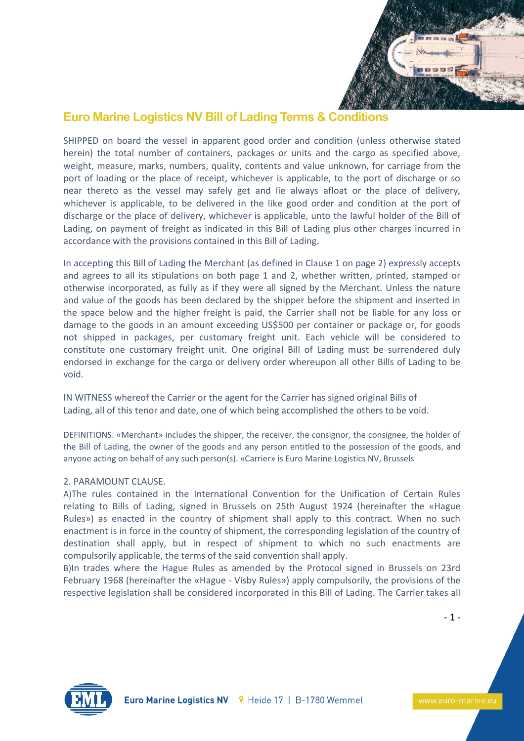

# **Euro Marine Logistics NV Bill of Lading Terms & Conditions**

SHIPPED on board the vessel in apparent good order and condition (unless otherwise stated herein) the total number of containers, packages or units and the cargo as specified above, weight, measure, marks, numbers, quality, contents and value unknown, for carriage from the port of loading or the place of receipt, whichever is applicable, to the port of discharge or so near thereto as the vessel may safely get and lie always afloat or the place of delivery, whichever is applicable, to be delivered in the like good order and condition at the port of discharge or the place of delivery, whichever is applicable, unto the lawful holder of the Bill of Lading, on payment of freight as indicated in this Bill of Lading plus other charges incurred in accordance with the provisions contained in this Bill of Lading.

In accepting this Bill of Lading the Merchant (as defined in Clause 1 on page 2) expressly accepts and agrees to all its stipulations on both page 1 and 2, whether written, printed, stamped or otherwise incorporated, as fully as if they were all signed by the Merchant. Unless the nature and value of the goods has been declared by the shipper before the shipment and inserted in the space below and the higher freight is paid, the Carrier shall not be liable for any loss or damage to the goods in an amount exceeding US\$500 per container or package or, for goods not shipped in packages, per customary freight unit. Each vehicle will be considered to constitute one customary freight unit. One original Bill of Lading must be surrendered duly endorsed in exchange for the cargo or delivery order whereupon all other Bills of Lading to be void.

IN WITNESS whereof the Carrier or the agent for the Carrier has signed original Bills of Lading, all of this tenor and date, one of which being accomplished the others to be void.

DEFINITIONS. «Merchant» includes the shipper, the receiver, the consignor, the consignee, the holder of the Bill of Lading, the owner of the goods and any person entitled to the possession of the goods, and anyone acting on behalf of any such person(s). «Carrier» is Euro Marine Logistics NV, Brussels

# 2. PARAMOUNT CLAUSE.

A)The rules contained in the International Convention for the Unification of Certain Rules relating to Bills of Lading, signed in Brussels on 25th August 1924 (hereinafter the «Hague Rules») as enacted in the country of shipment shall apply to this contract. When no such enactment is in force in the country of shipment, the corresponding legislation of the country of destination shall apply, but in respect of shipment to which no such enactments are compulsorily applicable, the terms of the said convention shall apply.

B)In trades where the Hague Rules as amended by the Protocol signed in Brussels on 23rd February 1968 (hereinafter the «Hague - Visby Rules») apply compulsorily, the provisions of the respective legislation shall be considered incorporated in this Bill of Lading. The Carrier takes all



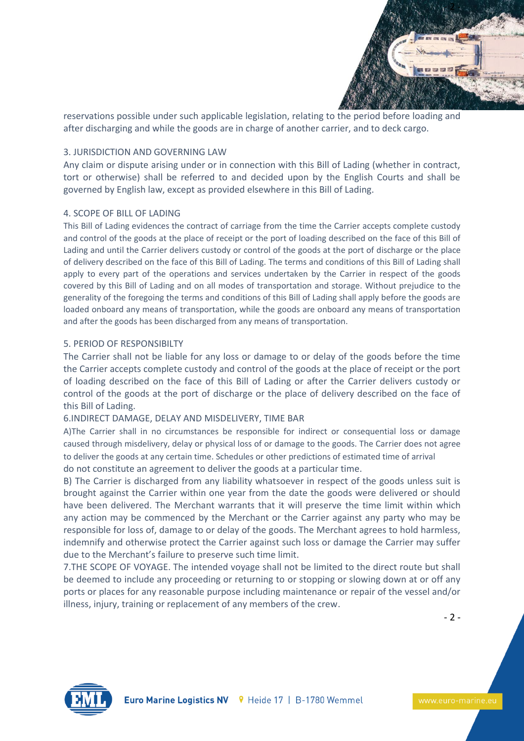

reservations possible under such applicable legislation, relating to the period before loading and after discharging and while the goods are in charge of another carrier, and to deck cargo.

### 3. JURISDICTION AND GOVERNING LAW

Any claim or dispute arising under or in connection with this Bill of Lading (whether in contract, tort or otherwise) shall be referred to and decided upon by the English Courts and shall be governed by English law, except as provided elsewhere in this Bill of Lading.

## 4. SCOPE OF BILL OF LADING

This Bill of Lading evidences the contract of carriage from the time the Carrier accepts complete custody and control of the goods at the place of receipt or the port of loading described on the face of this Bill of Lading and until the Carrier delivers custody or control of the goods at the port of discharge or the place of delivery described on the face of this Bill of Lading. The terms and conditions of this Bill of Lading shall apply to every part of the operations and services undertaken by the Carrier in respect of the goods covered by this Bill of Lading and on all modes of transportation and storage. Without prejudice to the generality of the foregoing the terms and conditions of this Bill of Lading shall apply before the goods are loaded onboard any means of transportation, while the goods are onboard any means of transportation and after the goods has been discharged from any means of transportation.

## 5. PERIOD OF RESPONSIBILTY

The Carrier shall not be liable for any loss or damage to or delay of the goods before the time the Carrier accepts complete custody and control of the goods at the place of receipt or the port of loading described on the face of this Bill of Lading or after the Carrier delivers custody or control of the goods at the port of discharge or the place of delivery described on the face of this Bill of Lading.

# 6.INDIRECT DAMAGE, DELAY AND MISDELIVERY, TIME BAR

A)The Carrier shall in no circumstances be responsible for indirect or consequential loss or damage caused through misdelivery, delay or physical loss of or damage to the goods. The Carrier does not agree to deliver the goods at any certain time. Schedules or other predictions of estimated time of arrival do not constitute an agreement to deliver the goods at a particular time.

B) The Carrier is discharged from any liability whatsoever in respect of the goods unless suit is brought against the Carrier within one year from the date the goods were delivered or should have been delivered. The Merchant warrants that it will preserve the time limit within which any action may be commenced by the Merchant or the Carrier against any party who may be responsible for loss of, damage to or delay of the goods. The Merchant agrees to hold harmless, indemnify and otherwise protect the Carrier against such loss or damage the Carrier may suffer due to the Merchant's failure to preserve such time limit.

7.THE SCOPE OF VOYAGE. The intended voyage shall not be limited to the direct route but shall be deemed to include any proceeding or returning to or stopping or slowing down at or off any ports or places for any reasonable purpose including maintenance or repair of the vessel and/or illness, injury, training or replacement of any members of the crew.

- 2 -

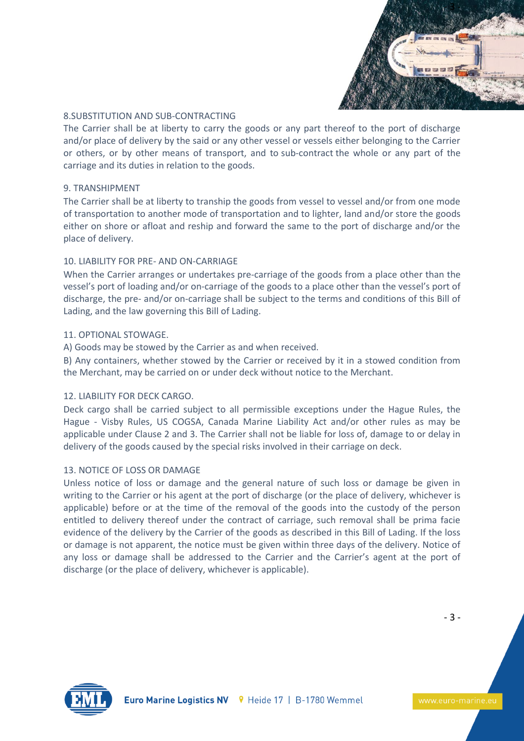

## 8.SUBSTITUTION AND SUB-CONTRACTING

The Carrier shall be at liberty to carry the goods or any part thereof to the port of discharge and/or place of delivery by the said or any other vessel or vessels either belonging to the Carrier or others, or by other means of transport, and to sub-contract the whole or any part of the carriage and its duties in relation to the goods.

#### 9. TRANSHIPMENT

The Carrier shall be at liberty to tranship the goods from vessel to vessel and/or from one mode of transportation to another mode of transportation and to lighter, land and/or store the goods either on shore or afloat and reship and forward the same to the port of discharge and/or the place of delivery.

## 10. LIABILITY FOR PRE- AND ON-CARRIAGE

When the Carrier arranges or undertakes pre-carriage of the goods from a place other than the vessel's port of loading and/or on-carriage of the goods to a place other than the vessel's port of discharge, the pre- and/or on-carriage shall be subject to the terms and conditions of this Bill of Lading, and the law governing this Bill of Lading.

#### 11. OPTIONAL STOWAGE.

A) Goods may be stowed by the Carrier as and when received.

B) Any containers, whether stowed by the Carrier or received by it in a stowed condition from the Merchant, may be carried on or under deck without notice to the Merchant.

#### 12. LIABILITY FOR DECK CARGO.

Deck cargo shall be carried subject to all permissible exceptions under the Hague Rules, the Hague - Visby Rules, US COGSA, Canada Marine Liability Act and/or other rules as may be applicable under Clause 2 and 3. The Carrier shall not be liable for loss of, damage to or delay in delivery of the goods caused by the special risks involved in their carriage on deck.

#### 13. NOTICE OF LOSS OR DAMAGE

Unless notice of loss or damage and the general nature of such loss or damage be given in writing to the Carrier or his agent at the port of discharge (or the place of delivery, whichever is applicable) before or at the time of the removal of the goods into the custody of the person entitled to delivery thereof under the contract of carriage, such removal shall be prima facie evidence of the delivery by the Carrier of the goods as described in this Bill of Lading. If the loss or damage is not apparent, the notice must be given within three days of the delivery. Notice of any loss or damage shall be addressed to the Carrier and the Carrier's agent at the port of discharge (or the place of delivery, whichever is applicable).



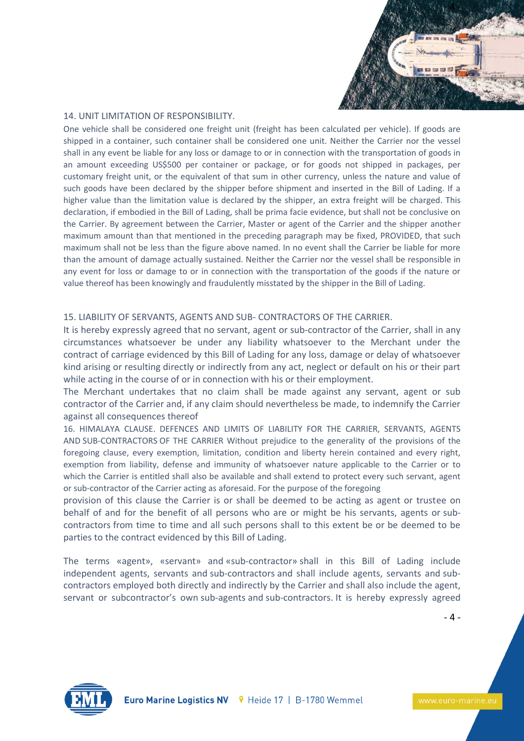

#### 14. UNIT LIMITATION OF RESPONSIBILITY.

One vehicle shall be considered one freight unit (freight has been calculated per vehicle). If goods are shipped in a container, such container shall be considered one unit. Neither the Carrier nor the vessel shall in any event be liable for any loss or damage to or in connection with the transportation of goods in an amount exceeding US\$500 per container or package, or for goods not shipped in packages, per customary freight unit, or the equivalent of that sum in other currency, unless the nature and value of such goods have been declared by the shipper before shipment and inserted in the Bill of Lading. If a higher value than the limitation value is declared by the shipper, an extra freight will be charged. This declaration, if embodied in the Bill of Lading, shall be prima facie evidence, but shall not be conclusive on the Carrier. By agreement between the Carrier, Master or agent of the Carrier and the shipper another maximum amount than that mentioned in the preceding paragraph may be fixed, PROVIDED, that such maximum shall not be less than the figure above named. In no event shall the Carrier be liable for more than the amount of damage actually sustained. Neither the Carrier nor the vessel shall be responsible in any event for loss or damage to or in connection with the transportation of the goods if the nature or value thereof has been knowingly and fraudulently misstated by the shipper in the Bill of Lading.

#### 15. LIABILITY OF SERVANTS, AGENTS AND SUB- CONTRACTORS OF THE CARRIER.

It is hereby expressly agreed that no servant, agent or sub-contractor of the Carrier, shall in any circumstances whatsoever be under any liability whatsoever to the Merchant under the contract of carriage evidenced by this Bill of Lading for any loss, damage or delay of whatsoever kind arising or resulting directly or indirectly from any act, neglect or default on his or their part while acting in the course of or in connection with his or their employment.

The Merchant undertakes that no claim shall be made against any servant, agent or sub contractor of the Carrier and, if any claim should nevertheless be made, to indemnify the Carrier against all consequences thereof

16. HIMALAYA CLAUSE. DEFENCES AND LIMITS OF LIABILITY FOR THE CARRIER, SERVANTS, AGENTS AND SUB-CONTRACTORS OF THE CARRIER Without prejudice to the generality of the provisions of the foregoing clause, every exemption, limitation, condition and liberty herein contained and every right, exemption from liability, defense and immunity of whatsoever nature applicable to the Carrier or to which the Carrier is entitled shall also be available and shall extend to protect every such servant, agent or sub-contractor of the Carrier acting as aforesaid. For the purpose of the foregoing

provision of this clause the Carrier is or shall be deemed to be acting as agent or trustee on behalf of and for the benefit of all persons who are or might be his servants, agents or subcontractors from time to time and all such persons shall to this extent be or be deemed to be parties to the contract evidenced by this Bill of Lading.

The terms «agent», «servant» and «sub-contractor» shall in this Bill of Lading include independent agents, servants and sub-contractors and shall include agents, servants and subcontractors employed both directly and indirectly by the Carrier and shall also include the agent, servant or subcontractor's own sub-agents and sub-contractors. It is hereby expressly agreed

- 4 -

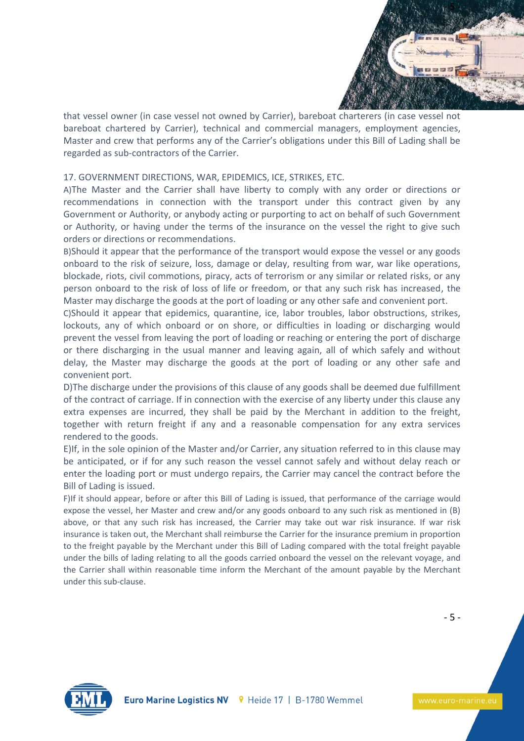

that vessel owner (in case vessel not owned by Carrier), bareboat charterers (in case vessel not bareboat chartered by Carrier), technical and commercial managers, employment agencies, Master and crew that performs any of the Carrier's obligations under this Bill of Lading shall be regarded as sub-contractors of the Carrier.

### 17. GOVERNMENT DIRECTIONS, WAR, EPIDEMICS, ICE, STRIKES, ETC.

A)The Master and the Carrier shall have liberty to comply with any order or directions or recommendations in connection with the transport under this contract given by any Government or Authority, or anybody acting or purporting to act on behalf of such Government or Authority, or having under the terms of the insurance on the vessel the right to give such orders or directions or recommendations.

B)Should it appear that the performance of the transport would expose the vessel or any goods onboard to the risk of seizure, loss, damage or delay, resulting from war, war like operations, blockade, riots, civil commotions, piracy, acts of terrorism or any similar or related risks, or any person onboard to the risk of loss of life or freedom, or that any such risk has increased, the Master may discharge the goods at the port of loading or any other safe and convenient port.

C)Should it appear that epidemics, quarantine, ice, labor troubles, labor obstructions, strikes, lockouts, any of which onboard or on shore, or difficulties in loading or discharging would prevent the vessel from leaving the port of loading or reaching or entering the port of discharge or there discharging in the usual manner and leaving again, all of which safely and without delay, the Master may discharge the goods at the port of loading or any other safe and convenient port.

D)The discharge under the provisions of this clause of any goods shall be deemed due fulfillment of the contract of carriage. If in connection with the exercise of any liberty under this clause any extra expenses are incurred, they shall be paid by the Merchant in addition to the freight, together with return freight if any and a reasonable compensation for any extra services rendered to the goods.

E)If, in the sole opinion of the Master and/or Carrier, any situation referred to in this clause may be anticipated, or if for any such reason the vessel cannot safely and without delay reach or enter the loading port or must undergo repairs, the Carrier may cancel the contract before the Bill of Lading is issued.

F)If it should appear, before or after this Bill of Lading is issued, that performance of the carriage would expose the vessel, her Master and crew and/or any goods onboard to any such risk as mentioned in (B) above, or that any such risk has increased, the Carrier may take out war risk insurance. If war risk insurance is taken out, the Merchant shall reimburse the Carrier for the insurance premium in proportion to the freight payable by the Merchant under this Bill of Lading compared with the total freight payable under the bills of lading relating to all the goods carried onboard the vessel on the relevant voyage, and the Carrier shall within reasonable time inform the Merchant of the amount payable by the Merchant under this sub-clause.

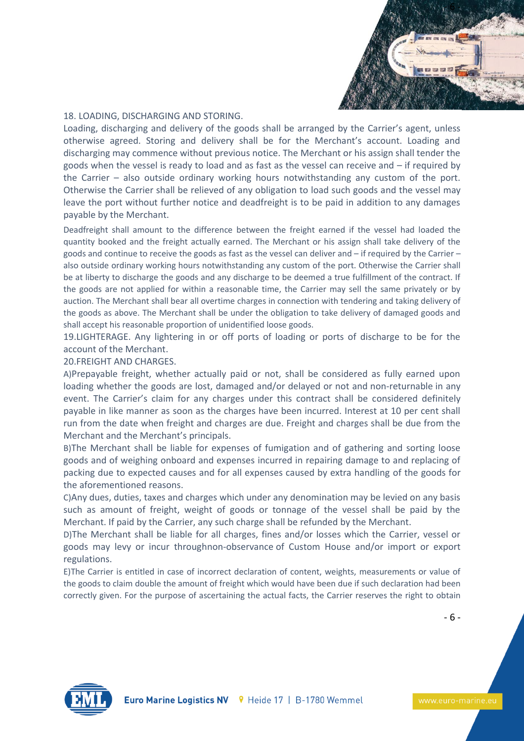

#### 18. LOADING, DISCHARGING AND STORING.

Loading, discharging and delivery of the goods shall be arranged by the Carrier's agent, unless otherwise agreed. Storing and delivery shall be for the Merchant's account. Loading and discharging may commence without previous notice. The Merchant or his assign shall tender the goods when the vessel is ready to load and as fast as the vessel can receive and – if required by the Carrier – also outside ordinary working hours notwithstanding any custom of the port. Otherwise the Carrier shall be relieved of any obligation to load such goods and the vessel may leave the port without further notice and deadfreight is to be paid in addition to any damages payable by the Merchant.

Deadfreight shall amount to the difference between the freight earned if the vessel had loaded the quantity booked and the freight actually earned. The Merchant or his assign shall take delivery of the goods and continue to receive the goods as fast as the vessel can deliver and – if required by the Carrier – also outside ordinary working hours notwithstanding any custom of the port. Otherwise the Carrier shall be at liberty to discharge the goods and any discharge to be deemed a true fulfillment of the contract. If the goods are not applied for within a reasonable time, the Carrier may sell the same privately or by auction. The Merchant shall bear all overtime charges in connection with tendering and taking delivery of the goods as above. The Merchant shall be under the obligation to take delivery of damaged goods and shall accept his reasonable proportion of unidentified loose goods.

19.LIGHTERAGE. Any lightering in or off ports of loading or ports of discharge to be for the account of the Merchant.

## 20.FREIGHT AND CHARGES.

A)Prepayable freight, whether actually paid or not, shall be considered as fully earned upon loading whether the goods are lost, damaged and/or delayed or not and non-returnable in any event. The Carrier's claim for any charges under this contract shall be considered definitely payable in like manner as soon as the charges have been incurred. Interest at 10 per cent shall run from the date when freight and charges are due. Freight and charges shall be due from the Merchant and the Merchant's principals.

B)The Merchant shall be liable for expenses of fumigation and of gathering and sorting loose goods and of weighing onboard and expenses incurred in repairing damage to and replacing of packing due to expected causes and for all expenses caused by extra handling of the goods for the aforementioned reasons.

C)Any dues, duties, taxes and charges which under any denomination may be levied on any basis such as amount of freight, weight of goods or tonnage of the vessel shall be paid by the Merchant. If paid by the Carrier, any such charge shall be refunded by the Merchant.

D)The Merchant shall be liable for all charges, fines and/or losses which the Carrier, vessel or goods may levy or incur throughnon-observance of Custom House and/or import or export regulations.

E)The Carrier is entitled in case of incorrect declaration of content, weights, measurements or value of the goods to claim double the amount of freight which would have been due if such declaration had been correctly given. For the purpose of ascertaining the actual facts, the Carrier reserves the right to obtain

- 6 -

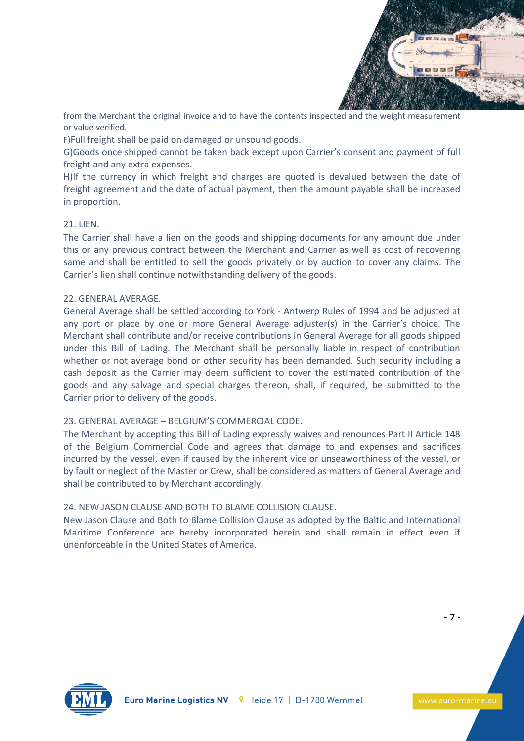

from the Merchant the original invoice and to have the contents inspected and the weight measurement or value verified.

F)Full freight shall be paid on damaged or unsound goods.

G)Goods once shipped cannot be taken back except upon Carrier's consent and payment of full freight and any extra expenses.

H)If the currency in which freight and charges are quoted is devalued between the date of freight agreement and the date of actual payment, then the amount payable shall be increased in proportion.

## 21. LIEN.

The Carrier shall have a lien on the goods and shipping documents for any amount due under this or any previous contract between the Merchant and Carrier as well as cost of recovering same and shall be entitled to sell the goods privately or by auction to cover any claims. The Carrier's lien shall continue notwithstanding delivery of the goods.

#### 22. GENERAL AVERAGE.

General Average shall be settled according to York - Antwerp Rules of 1994 and be adjusted at any port or place by one or more General Average adjuster(s) in the Carrier's choice. The Merchant shall contribute and/or receive contributions in General Average for all goods shipped under this Bill of Lading. The Merchant shall be personally liable in respect of contribution whether or not average bond or other security has been demanded. Such security including a cash deposit as the Carrier may deem sufficient to cover the estimated contribution of the goods and any salvage and special charges thereon, shall, if required, be submitted to the Carrier prior to delivery of the goods.

# 23. GENERAL AVERAGE – BELGIUM'S COMMERCIAL CODE.

The Merchant by accepting this Bill of Lading expressly waives and renounces Part II Article 148 of the Belgium Commercial Code and agrees that damage to and expenses and sacrifices incurred by the vessel, even if caused by the inherent vice or unseaworthiness of the vessel, or by fault or neglect of the Master or Crew, shall be considered as matters of General Average and shall be contributed to by Merchant accordingly.

# 24. NEW JASON CLAUSE AND BOTH TO BLAME COLLISION CLAUSE.

New Jason Clause and Both to Blame Collision Clause as adopted by the Baltic and International Maritime Conference are hereby incorporated herein and shall remain in effect even if unenforceable in the United States of America.